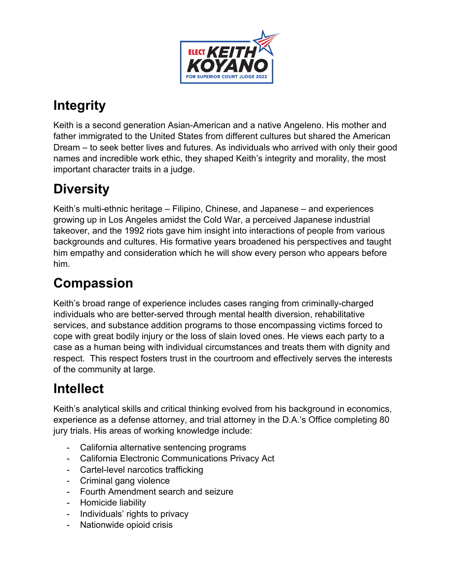

# **Integrity**

Keith is a second generation Asian-American and a native Angeleno. His mother and father immigrated to the United States from different cultures but shared the American Dream – to seek better lives and futures. As individuals who arrived with only their good names and incredible work ethic, they shaped Keith's integrity and morality, the most important character traits in a judge.

### **Diversity**

Keith's multi-ethnic heritage – Filipino, Chinese, and Japanese – and experiences growing up in Los Angeles amidst the Cold War, a perceived Japanese industrial takeover, and the 1992 riots gave him insight into interactions of people from various backgrounds and cultures. His formative years broadened his perspectives and taught him empathy and consideration which he will show every person who appears before him.

# **Compassion**

Keith's broad range of experience includes cases ranging from criminally-charged individuals who are better-served through mental health diversion, rehabilitative services, and substance addition programs to those encompassing victims forced to cope with great bodily injury or the loss of slain loved ones. He views each party to a case as a human being with individual circumstances and treats them with dignity and respect. This respect fosters trust in the courtroom and effectively serves the interests of the community at large.

## **Intellect**

Keith's analytical skills and critical thinking evolved from his background in economics, experience as a defense attorney, and trial attorney in the D.A.'s Office completing 80 jury trials. His areas of working knowledge include:

- California alternative sentencing programs
- California Electronic Communications Privacy Act
- Cartel-level narcotics trafficking
- Criminal gang violence
- Fourth Amendment search and seizure
- Homicide liability
- Individuals' rights to privacy
- Nationwide opioid crisis